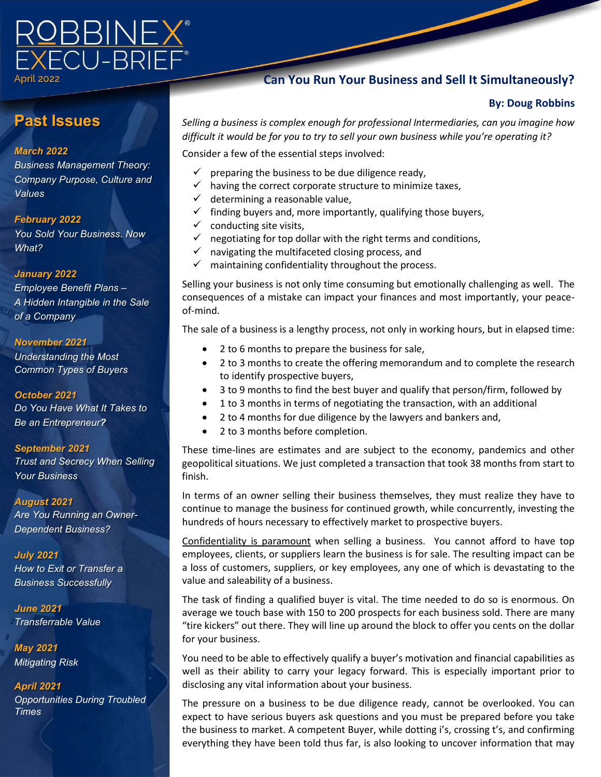# 

April 2022

# **Past Issues**

## *March 2022*

*Business Management Theory: Company Purpose, Culture and Values*

## *February 2022*

*You Sold Your Business. Now What?*

## *January 2022*

*Employee Benefit Plans – A Hidden Intangible in the Sale of a Company*

#### *November 2021*

*Understanding the Most Common Types of Buyers*

### *October 2021*

*Do You Have What It Takes to Be an Entrepreneur?* 

#### *September 2021*

*Trust and Secrecy When Selling Your Business*

#### *August 2021*

*Are You Running an Owner-Dependent Business?*

*July 2021 How to Exit or Transfer a Business Successfully*

*June 2021 Transferrable Value*

*May 2021 Mitigating Risk*

*April 2021 Opportunities During Troubled Times*

# **Can You Run Your Business and Sell It Simultaneously?**

# **By: Doug Robbins**

*Selling a business is complex enough for professional Intermediaries, can you imagine how difficult it would be for you to try to sell your own business while you're operating it?* 

Consider a few of the essential steps involved:

- $\checkmark$  preparing the business to be due diligence ready,
- $\checkmark$  having the correct corporate structure to minimize taxes,
- $\checkmark$  determining a reasonable value,
- $\checkmark$  finding buyers and, more importantly, qualifying those buyers,
- $\checkmark$  conducting site visits,
- negotiating for top dollar with the right terms and conditions,
- $\checkmark$  navigating the multifaceted closing process, and
- $\checkmark$  maintaining confidentiality throughout the process.

Selling your business is not only time consuming but emotionally challenging as well. The consequences of a mistake can impact your finances and most importantly, your peaceof-mind.

The sale of a business is a lengthy process, not only in working hours, but in elapsed time:

- 2 to 6 months to prepare the business for sale,
- 2 to 3 months to create the offering memorandum and to complete the research to identify prospective buyers,
- 3 to 9 months to find the best buyer and qualify that person/firm, followed by
- 1 to 3 months in terms of negotiating the transaction, with an additional
- 2 to 4 months for due diligence by the lawyers and bankers and,
- 2 to 3 months before completion.

These time-lines are estimates and are subject to the economy, pandemics and other geopolitical situations. We just completed a transaction that took 38 months from start to finish.

In terms of an owner selling their business themselves, they must realize they have to continue to manage the business for continued growth, while concurrently, investing the hundreds of hours necessary to effectively market to prospective buyers.

Confidentiality is paramount when selling a business. You cannot afford to have top employees, clients, or suppliers learn the business is for sale. The resulting impact can be a loss of customers, suppliers, or key employees, any one of which is devastating to the value and saleability of a business.

The task of finding a qualified buyer is vital. The time needed to do so is enormous. On average we touch base with 150 to 200 prospects for each business sold. There are many "tire kickers" out there. They will line up around the block to offer you cents on the dollar for your business.

You need to be able to effectively qualify a buyer's motivation and financial capabilities as well as their ability to carry your legacy forward. This is especially important prior to disclosing any vital information about your business.

The pressure on a business to be due diligence ready, cannot be overlooked. You can expect to have serious buyers ask questions and you must be prepared before you take the business to market. A competent Buyer, while dotting i's, crossing t's, and confirming everything they have been told thus far, is also looking to uncover information that may